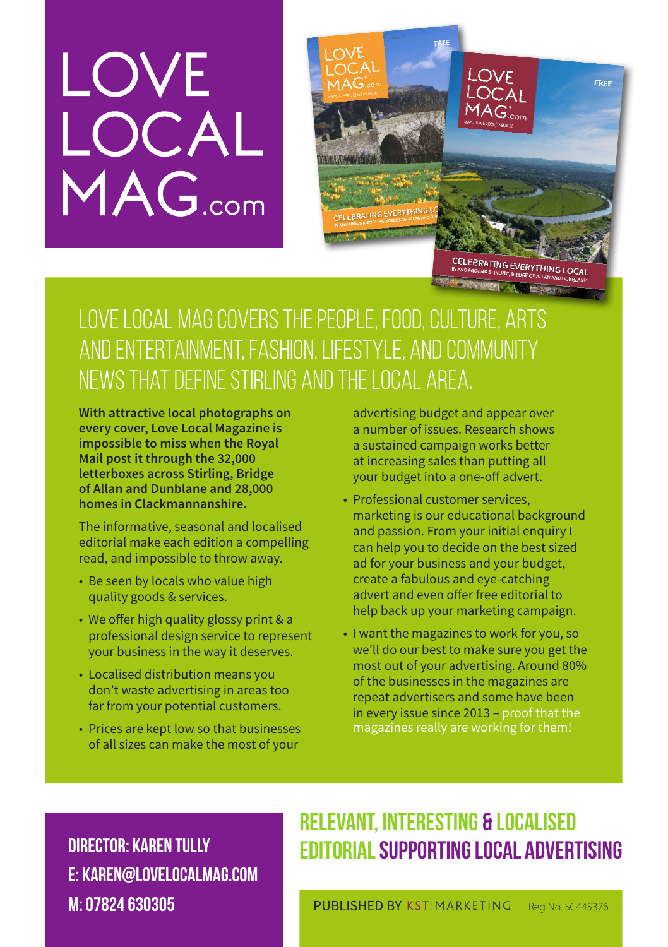# LOVE<br>LOCAL<br>MAG.com



## Love Local Mag covers the people, food, culture, arts and entertainment, fashion, lifestyle, and community news that define Stirling and the local area.

**With attractive local photographs on every cover, Love Local Magazine is impossible to miss when the Royal Mail post it through the 32,000 letterboxes across Stirling, Bridge of Allan and Dunblane and 28,000 homes in Clackmannanshire.** 

The informative, seasonal and localised editorial make each edition a compelling read, and impossible to throw away.

- Be seen by locals who value high quality goods & services.
- We offer high quality glossy print & a professional design service to represent your business in the way it deserves.
- Localised distribution means you don't waste advertising in areas too far from your potential customers.
- Prices are kept low so that businesses of all sizes can make the most of your

advertising budget and appear over a number of issues. Research shows a sustained campaign works better at increasing sales than putting all your budget into a one-off advert.

- Professional customer services, marketing is our educational background and passion. From your initial enquiry I can help you to decide on the best sized ad for your business and your budget, create a fabulous and eye-catching advert and even offer free editorial to help back up your marketing campaign.
- I want the magazines to work for you, so we'll do our best to make sure you get the most out of your advertising. Around 80% of the businesses in the magazines are repeat advertisers and some have been in every issue since 2013 – proof that the magazines really are working for them!

Director: Karen Tully E: karen@lovelocalmag.com M: 07824 630305

## Relevant, interesting & localised editorialsupporting local advertising

PUBLISHED BY KSTIMARKETING Reg No. SC445376